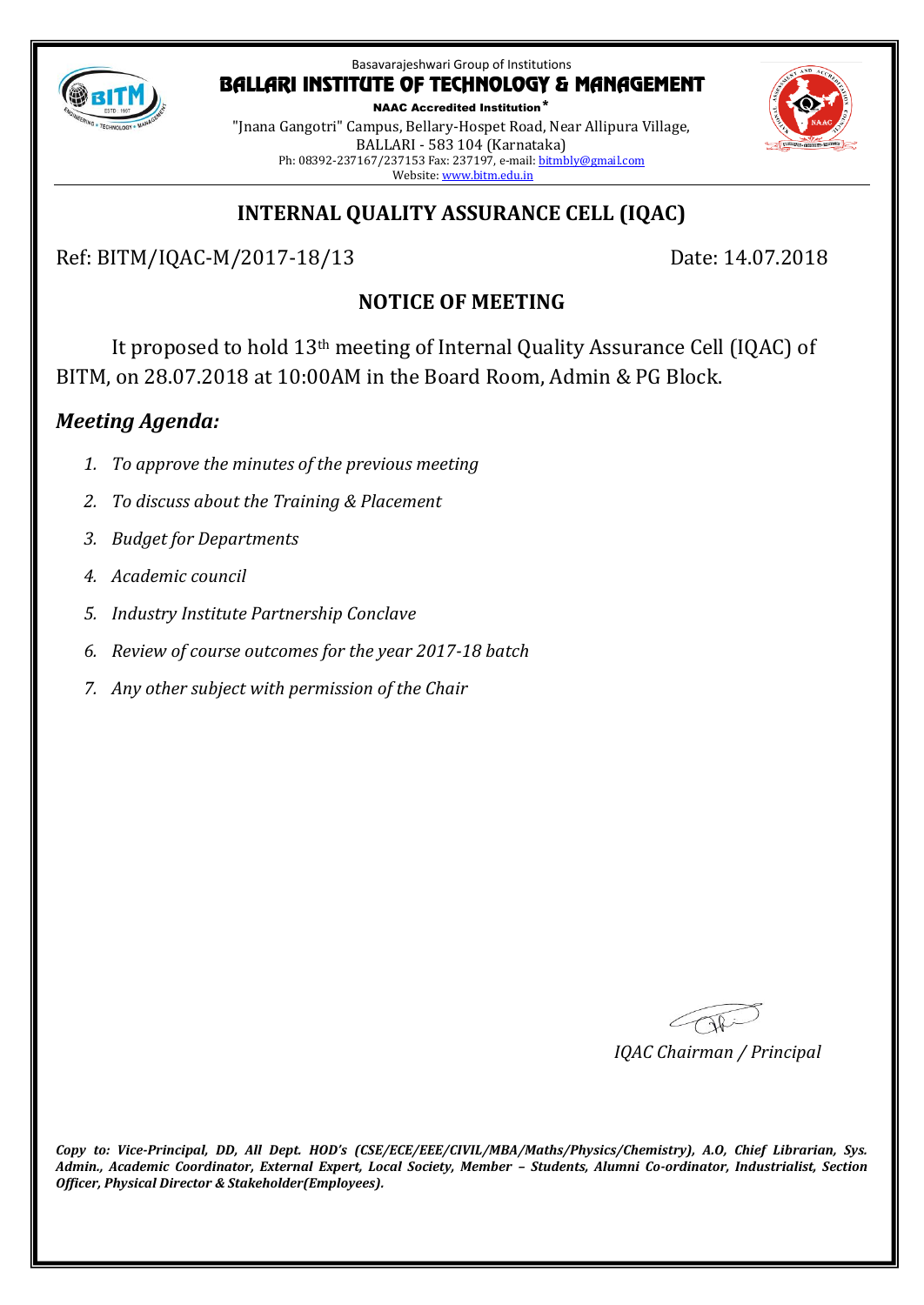

#### Basavarajeshwari Group of Institutions **BALLARI INSTITUTE OF TECHNOLOGY & MANAGEMENT**

NAAC Accredited Institution\* "Jnana Gangotri" Campus, Bellary-Hospet Road, Near Allipura Village, BALLARI - 583 104 (Karnataka) Ph: 08392-237167/237153 Fax: 237197, e-mail[: bitmbly@gmail.com](mailto:bitmbly@gmail.com) Website[: www.bitm.edu.in](http://www.bec-bellary.com/)



# **INTERNAL QUALITY ASSURANCE CELL (IQAC)**

Ref: BITM/IQAC-M/2017-18/13 Date: 14.07.2018

# **NOTICE OF MEETING**

It proposed to hold 13th meeting of Internal Quality Assurance Cell (IQAC) of BITM, on 28.07.2018 at 10:00AM in the Board Room, Admin & PG Block.

# *Meeting Agenda:*

- *1. To approve the minutes of the previous meeting*
- *2. To discuss about the Training & Placement*
- *3. Budget for Departments*
- *4. Academic council*
- *5. Industry Institute Partnership Conclave*
- *6. Review of course outcomes for the year 2017-18 batch*
- *7. Any other subject with permission of the Chair*

*IQAC Chairman / Principal*

*Copy to: Vice-Principal, DD, All Dept. HOD's (CSE/ECE/EEE/CIVIL/MBA/Maths/Physics/Chemistry), A.O, Chief Librarian, Sys. Admin., Academic Coordinator, External Expert, Local Society, Member – Students, Alumni Co-ordinator, Industrialist, Section Officer, Physical Director & Stakeholder(Employees).*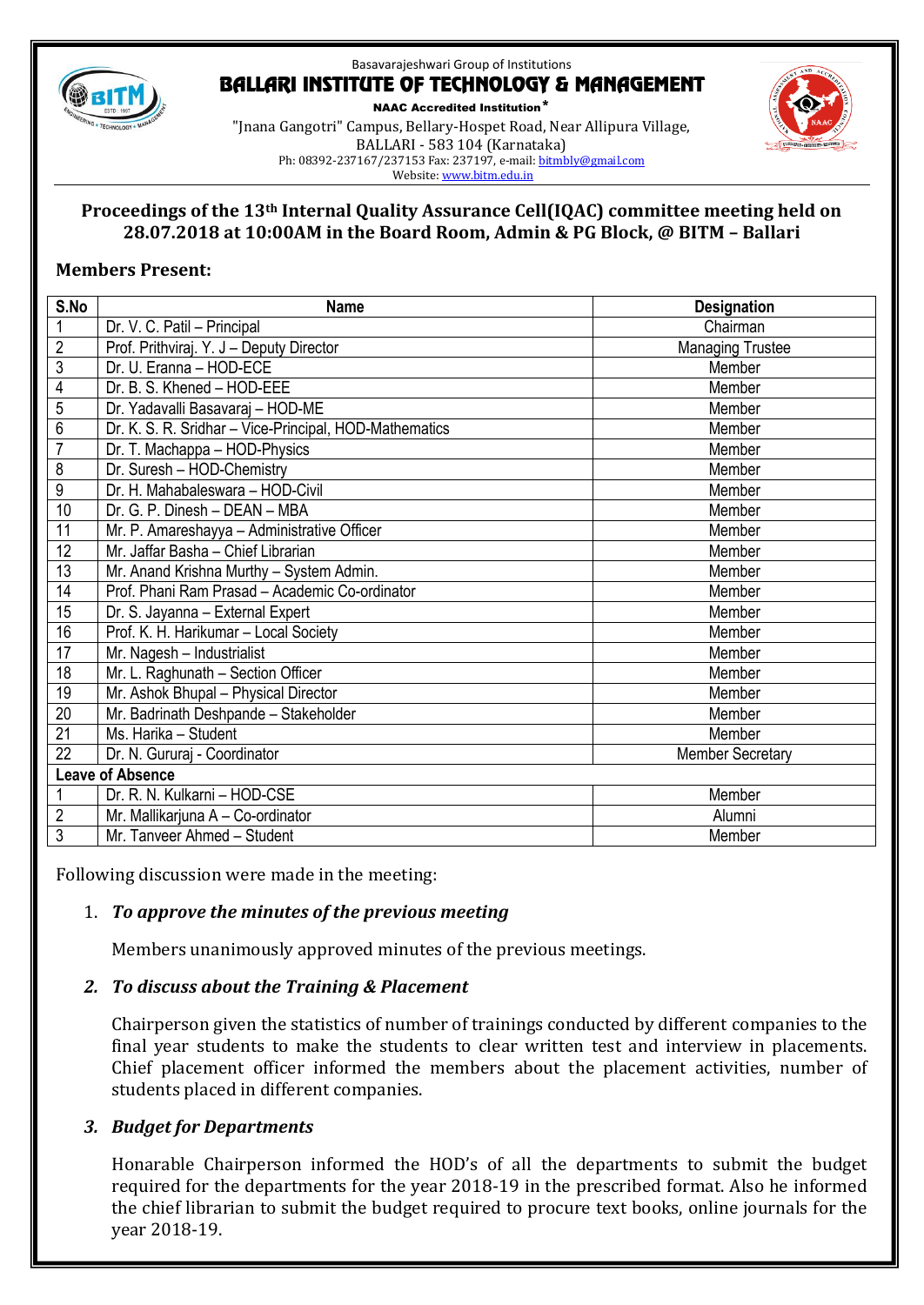

#### Basavarajeshwari Group of Institutions **BALLARI INSTITUTE OF TECHNOLOGY & MANAGEMENT**

NAAC Accredited Institution\* "Jnana Gangotri" Campus, Bellary-Hospet Road, Near Allipura Village, BALLARI - 583 104 (Karnataka) Ph: 08392-237167/237153 Fax: 237197, e-mail[: bitmbly@gmail.com](mailto:bitmbly@gmail.com) Website[: www.bitm.edu.in](http://www.bec-bellary.com/)



## **Proceedings of the 13th Internal Quality Assurance Cell(IQAC) committee meeting held on 28.07.2018 at 10:00AM in the Board Room, Admin & PG Block, @ BITM – Ballari**

# **Members Present:**

| S.No                    | <b>Name</b>                                            | <b>Designation</b>      |
|-------------------------|--------------------------------------------------------|-------------------------|
| $\mathbf 1$             | Dr. V. C. Patil - Principal                            | Chairman                |
| $\overline{2}$          | Prof. Prithviraj. Y. J - Deputy Director               | <b>Managing Trustee</b> |
| $\overline{3}$          | Dr. U. Eranna - HOD-ECE                                | Member                  |
| 4                       | Dr. B. S. Khened - HOD-EEE                             | Member                  |
| 5                       | Dr. Yadavalli Basavaraj - HOD-ME                       | Member                  |
| $\overline{6}$          | Dr. K. S. R. Sridhar - Vice-Principal, HOD-Mathematics | Member                  |
| 7                       | Dr. T. Machappa - HOD-Physics                          | Member                  |
| $\overline{8}$          | Dr. Suresh - HOD-Chemistry                             | Member                  |
| 9                       | Dr. H. Mahabaleswara - HOD-Civil                       | Member                  |
| 10                      | Dr. G. P. Dinesh - DEAN - MBA                          | Member                  |
| 11                      | Mr. P. Amareshayya - Administrative Officer            | Member                  |
| $\overline{12}$         | Mr. Jaffar Basha - Chief Librarian                     | Member                  |
| $\overline{13}$         | Mr. Anand Krishna Murthy - System Admin.               | Member                  |
| 14                      | Prof. Phani Ram Prasad - Academic Co-ordinator         | Member                  |
| 15                      | Dr. S. Jayanna - External Expert                       | Member                  |
| 16                      | Prof. K. H. Harikumar - Local Society                  | Member                  |
| 17                      | Mr. Nagesh - Industrialist                             | Member                  |
| $\overline{18}$         | Mr. L. Raghunath - Section Officer                     | Member                  |
| 19                      | Mr. Ashok Bhupal - Physical Director                   | Member                  |
| $\overline{20}$         | Mr. Badrinath Deshpande - Stakeholder                  | Member                  |
| 21                      | Ms. Harika - Student                                   | Member                  |
| $\overline{22}$         | Dr. N. Gururaj - Coordinator                           | <b>Member Secretary</b> |
| <b>Leave of Absence</b> |                                                        |                         |
|                         | Dr. R. N. Kulkarni - HOD-CSE                           | Member                  |
| $\overline{2}$          | Mr. Mallikarjuna A - Co-ordinator                      | Alumni                  |
| 3                       | Mr. Tanveer Ahmed - Student                            | Member                  |

Following discussion were made in the meeting:

# 1. *To approve the minutes of the previous meeting*

Members unanimously approved minutes of the previous meetings.

### *2. To discuss about the Training & Placement*

Chairperson given the statistics of number of trainings conducted by different companies to the final year students to make the students to clear written test and interview in placements. Chief placement officer informed the members about the placement activities, number of students placed in different companies.

# *3. Budget for Departments*

Honarable Chairperson informed the HOD's of all the departments to submit the budget required for the departments for the year 2018-19 in the prescribed format. Also he informed the chief librarian to submit the budget required to procure text books, online journals for the year 2018-19.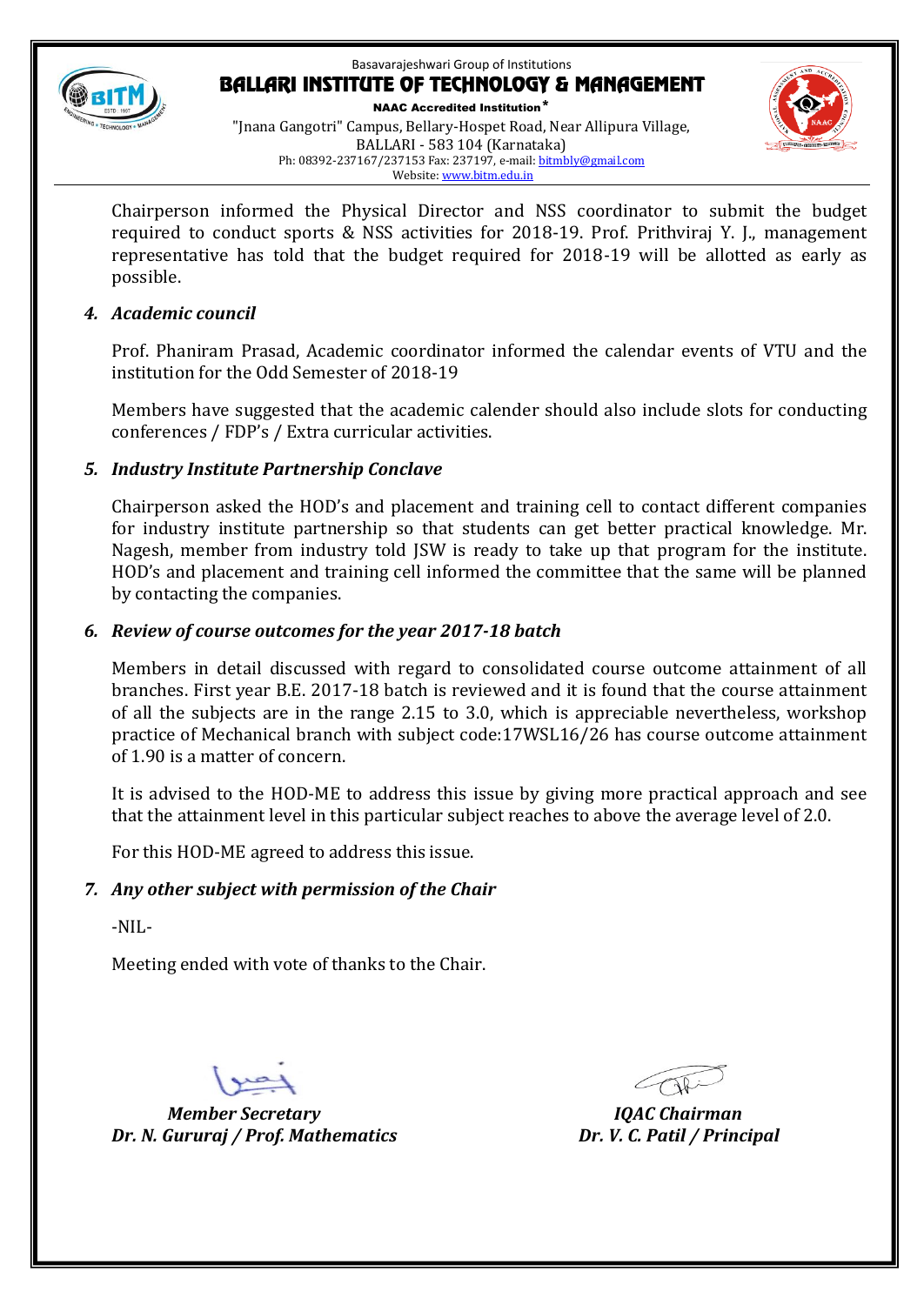

## Basavarajeshwari Group of Institutions **BALLARI INSTITUTE OF TECHNOLOGY & MANAGEMENT** NAAC Accredited Institution\*

"Jnana Gangotri" Campus, Bellary-Hospet Road, Near Allipura Village, BALLARI - 583 104 (Karnataka) Ph: 08392-237167/237153 Fax: 237197, e-mail[: bitmbly@gmail.com](mailto:bitmbly@gmail.com) Website[: www.bitm.edu.in](http://www.bec-bellary.com/)

Chairperson informed the Physical Director and NSS coordinator to submit the budget required to conduct sports & NSS activities for 2018-19. Prof. Prithviraj Y. J., management representative has told that the budget required for 2018-19 will be allotted as early as possible.

### *4. Academic council*

Prof. Phaniram Prasad, Academic coordinator informed the calendar events of VTU and the institution for the Odd Semester of 2018-19

Members have suggested that the academic calender should also include slots for conducting conferences / FDP's / Extra curricular activities.

# *5. Industry Institute Partnership Conclave*

Chairperson asked the HOD's and placement and training cell to contact different companies for industry institute partnership so that students can get better practical knowledge. Mr. Nagesh, member from industry told JSW is ready to take up that program for the institute. HOD's and placement and training cell informed the committee that the same will be planned by contacting the companies.

# *6. Review of course outcomes for the year 2017-18 batch*

Members in detail discussed with regard to consolidated course outcome attainment of all branches. First year B.E. 2017-18 batch is reviewed and it is found that the course attainment of all the subjects are in the range 2.15 to 3.0, which is appreciable nevertheless, workshop practice of Mechanical branch with subject code:17WSL16/26 has course outcome attainment of 1.90 is a matter of concern.

It is advised to the HOD-ME to address this issue by giving more practical approach and see that the attainment level in this particular subject reaches to above the average level of 2.0.

For this HOD-ME agreed to address this issue.

# *7. Any other subject with permission of the Chair*

-NIL-

Meeting ended with vote of thanks to the Chair.

*Member Secretary IQAC Chairman Dr. N. Gururaj / Prof. Mathematics Dr. V. C. Patil / Principal*